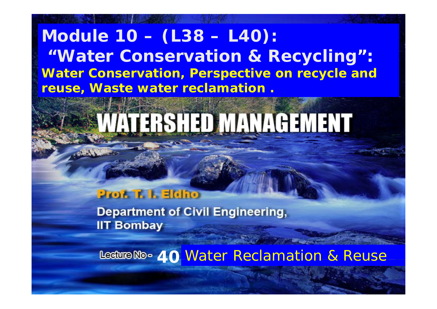#### **Module 10 – (L38 – L40): " i li Water Conservation & Recycling ": Water Conservation, Perspective on recycle and reuse, W t t l ti Was e wa ter reclamation .**

# VATERSHED MANAGEMENT

#### **Prof. T. I. Eldho**

**Department of Civil Engineering, IIT Bombay** 

**40** Water Reclamation & Reuse

11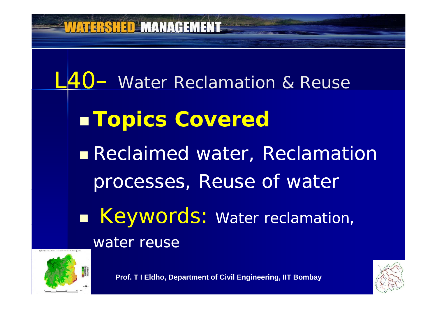



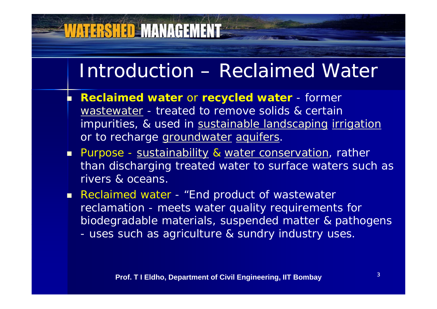#### Introduction – Reclaimed Water

- Г **Reclaimed water** or **recycled water** - former wastewater - treated to remove solids & certain impurities, & used in sustainable landscaping irrigation or to recharge groundwater aquifers.
- **Purpose <u>sustainability</u> & water conservation**, rather than discharging treated water to surface waters such as rivers & oceans.
- **Reclaimed water "End product of wastewater** reclamation - meets water quality requirements for biodegradable materials, suspended matter & pathogens uses such as agriculture & sundry industry uses.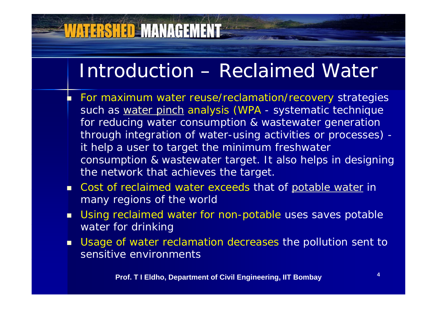## Introduction – Reclaimed Water

- Г For maximum water reuse/reclamation/recovery strategies such as water pinch analysis (WPA - systematic technique for reducing water consumption & wastewater generation through integration of water-using activities or processes) it help a user to target the minimum freshwater consumption & wastewater target. It also helps in designing the network that achieves the target.
- **Cost of reclaimed water exceeds that of potable water in** many regions of the world
- $\blacksquare$  Using reclaimed water for non-potable uses saves potable water for drinking
- Π Usage of water reclamation decreases the pollution sent to sensitive environments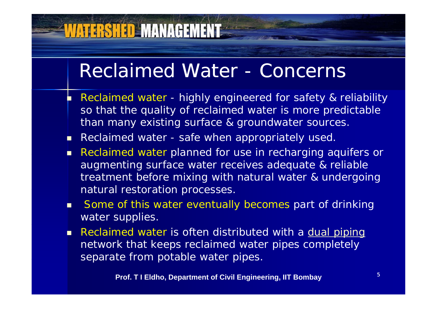#### Reclaimed Water - Concerns

- Г Reclaimed water - highly engineered for safety & reliability so that the quality of reclaimed water is more predictable than many existing surface & groundwater sources.
- **Reclaimed water safe when appropriately used.**
- П Reclaimed water planned for use in recharging aquifers or augmenting surface water receives adequate & reliable treatment before mixing with natural water & undergoing natural restoration processes.
- п Some of this water eventually becomes part of drinking water supplies.
- Reclaimed water is often distributed with a **dual piping** network that keeps reclaimed water pipes completely separate from potable water pipes.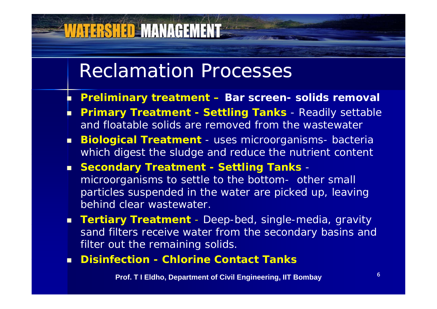#### Reclamation Processes

**VATERSHED MANAGEMENT** 

- Г **Preliminary treatment – Bar screen- solids removal**
- Г **Primary Treatment - Settling Tanks** - Readily settable and floatable solids are removed from the wastewate r
- П **Biological Treatment** - uses microorganisms- bacteria which digest the sludge and reduce the nutrient content
- **Secondary Treatment - Settling Tanks** microorganisms to settle to the bottom- other small particles suspended in the water are picked up, leaving behind clear wastewater.
- **Tertiar y Treatment** - Deep-bed, single-media, gravity sand filters receive water from the secondary basins and filter out the remaining solids.
- ▔ **Disinfection - Chlorine Contact Tanks**

**Prof. T I Eldho, Department of Civil Engineering, IIT Bombay**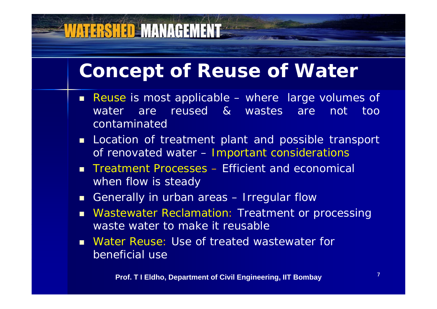#### **Concept of Reuse of Water**

- **Reuse is most applicable where large volumes of** water are reused & wastes are not too contaminated
- **Location of treatment plant and possible transport** of renovated water –- Important considerations
- × ■ Treatment Processes – Efficient and economical when flow is steady
- **Generally in urban areas Irregular flow**
- **Nastewater Reclamation: Treatment or processing** waste water to make it reusable
- **Nater Reuse: Use of treated wastewater for** beneficial use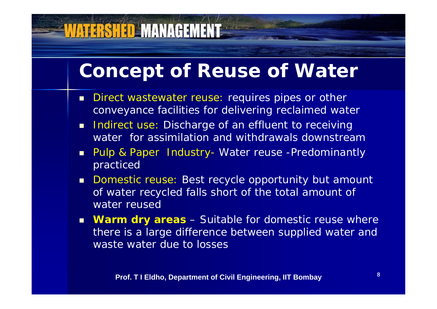#### **Concept of Reuse of Water**

- $\blacksquare$  . Direct wastewater reuse: requires pipes or other conveyance facilities for delivering reclaimed water
- $\blacksquare$  Indirect use: Discharge of an effluent to receiving water for assimilation and withdrawals downstream
- Pulp & Paper Industry - Water reuse -Predominantly practiced
- **Domestic reuse: Best recycle opportunity but amount** of water recycled falls short of the total amount of water reused
- **Warm dry areas** Suitable for domestic reuse where there is a large difference between supplied water and waste water due to losses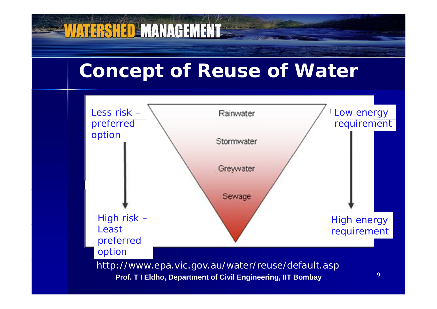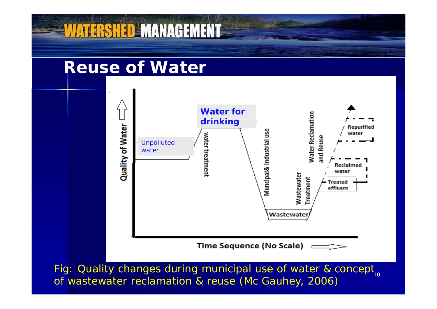

Fig: Quality changes during municipal use of water & concept<sub>10</sub> of wastewater reclamation & reuse (Mc Gauhey, 2006)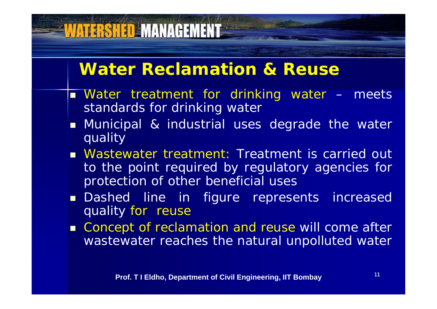#### **Water Reclamation & Reuse**

- Water treatment for drinking water meets standards for drinking water
- **n** Municipal & industrial uses degrade the water quality
- **Nastewater treatment: Treatment is carried out** to the point required by regulatory agencies for protection of other beneficial uses
- Dashed line in figure represents increased quality for reuse
- Concept of reclamation and reuse will come after wastewater reaches the natural unpolluted water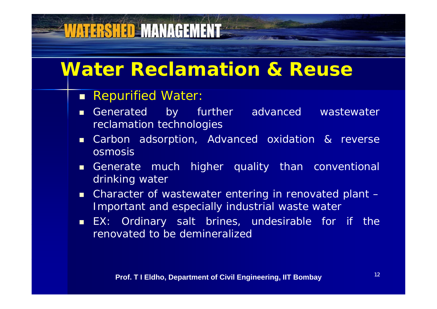# **VATERSHED MANAGEMENT**

#### **Water Reclamation & Reuse**

- **Repurified Water:**
- Generated by further advanced wastewater reclamation technologies
- Carbon adsorption, Advanced oxidation & reverse osmosis
- Generate much higher quality than conventional drinking water
- Character of wastewater entering in renovated plant -Important and especially industrial waste water
- EX: Ordinary salt brines, undesirable for if the renovated to be demineralized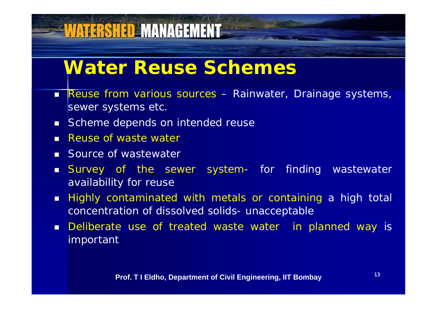#### **Water Reuse Schemes**

- **Reuse from various sources Rainwater, Drainage systems,** sewer systems etc.
- Scheme depends on intended reuse

- **Reuse of waste water**
- **Source of wastewater**
- Survey of the sewer system- for finding wastewater availability for reuse
- Highly contaminated with metals or containing <sup>a</sup> high total concentration of dissolved solids- unacceptable
- Deliberate use of treated waste water in planned way is important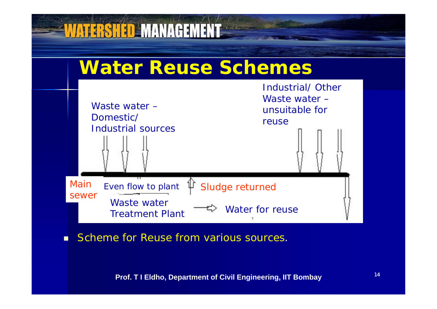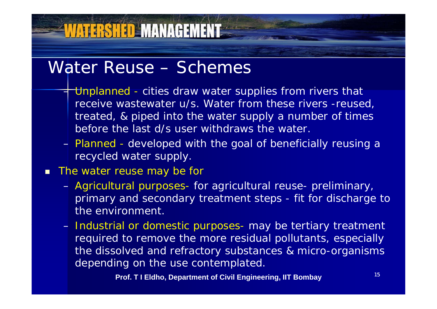#### Water Reuse – Schemes

**WATERSHED MANAGEMENT** 

- – $\pm$  Unplanned - cities draw water supplies from rivers that receive wastewater u/s. Water from these rivers -reused, treated, & piped into the water supply a number of times before the last d/s user withdraws the water.
- Planned developed with the goal of beneficially reusing a recycled water supply.

#### $\blacksquare$ The water reuse may be for

- Agricultural purposes- for agricultural reuse- preliminary, primary and secondary treatment steps - fit for discharge to the environment.
- Industrial or domestic purposes- may be tertiary treatment required to remove the more residual pollutants, especially the dissolved and refractory substances & micro-organisms depending on the use contemplated.

**Prof. T I Eldho, Department of Civil Engineering, IIT Bombay**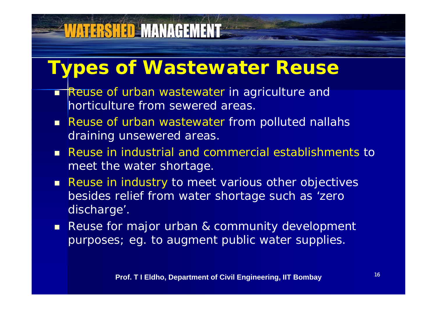# **WATERSHED MANAGEMENT**

## **Types of Wastewater Reuse**

- П **Reuse of urban wastewater in agriculture and** horticulture from sewered areas.
- Reuse of urban wastewater from polluted nallahs draining unsewered areas.
- Reuse in industrial and commercial establishments to meet the water shortage.
- **Reuse in industry to meet various other objectives** besides relief from water shortage such as 'zero discharge'.
- **Reuse for major urban & community development** purposes; eg. to augment public water supplies.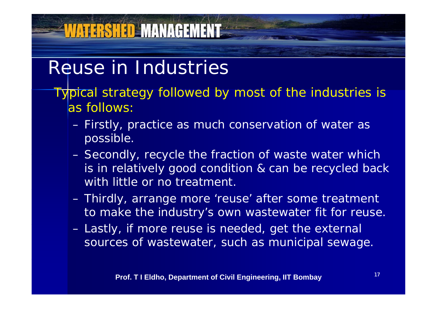#### Reuse in Industries

- Typical strategy followed by most of the industries is as follows:
	- Firstly, practice as much conservation of water as possible.
	- Secondly, recycle the fraction of waste water which is in relatively good condition & can be recycled back with little or no treatment.
	- Thirdly, arrange more 'reuse' after some treatment to make the industry's own wastewater fit for reuse.
	- Lastly, if more reuse is needed, get the external sources of wastewater, such as municipal sewage.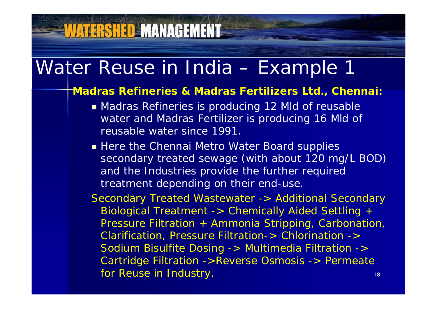# Water Reuse in India – Example 1

**VATERSHED MANAGEMENT** 

#### *Madras Refineries & Madras Fertilizers Ltd., Chennai:*

- Madras Refineries is producing 12 Mld of reusable water and Madras Fertilizer is producing 16 Mld of reusable water since 1991.
- **Example 11 Here the Chennai Metro Water Board supplies** secondary treated sewage (with about 120 mg/L BOD) and the Industries provide the further required treatment depending on their end-use.

*Secondary Treated Wastewater -> Additional Secondary Biological Treatment -> Chemically Aided Settling + Pressure Filtration + Ammonia Stripping, Carbonation, Clarification, Pressure Filtration-> Chlorination -> Sodium Bisulfite Dosing -> Multimedia Filtration -> Cartridge Filtration >Reverse Osmosis > Permeate ->Reverse*  18 *-> for Reuse in Industry.*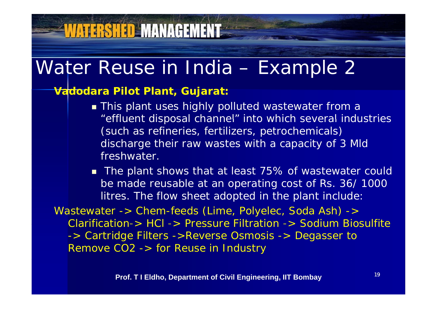# **VATERSHED MANAGEMENT**

#### Water Reuse in India – Example 2

#### *Vadodara Pilot Plant, Gujarat:*

**This plant uses highly polluted wastewater from a** "effluent disposal channel" into which several industries (such as refineries, fertilizers, petrochemicals) discharge their raw wastes with a capacity of 3 Mld freshwater.

■ The plant shows that at least 75% of wastewater could be made reusable at an operating cost of Rs. 36/ 1000 litres. The flow sheet adopted in the plant include:

*Wastewater -> Chem-feeds (Lime, Polyelec, Soda Ash) -> Clarification -> HCl -> Pressure Filtration -> Sodium Biosulfite -> Cartridge Filters ->Reverse Osmosis -> Degasser to Remove CO2 -> for Reuse in Industry*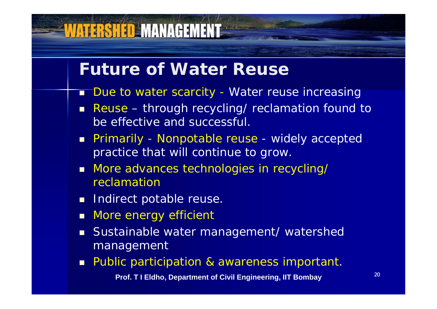#### **Future of Water Reuse**

- T Due to water scarcity - Water reuse increasing
- Reuse through recycling/ reclamation found to be effective and successful.
- Primarily Nonpotable reuse widely accepted practice that will continue to grow.
- **More advances technologies in recycling/** reclamation
- **Indirect potable reuse.**

- **Nore energy efficient**
- Sustainable water management/ watershed management
- **Public participation & awareness important.**

**Prof. T I Eldho, Department of Civil Engineering, IIT Bombay**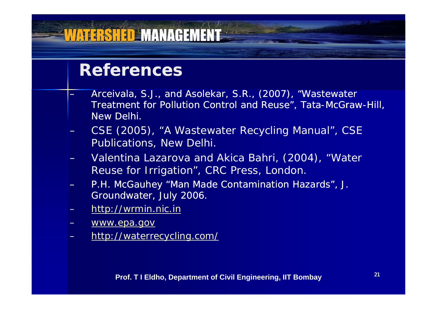#### **ATERSHED MANAGEMENT**

#### **References**

- Arceivala, S.J., and Asolekar, S.R., (2007), "Wastewater Treatment for Pollution Control and Reuse", Tata-McGraw-Hill, New Delhi.
- CSE (2005), "A Wastewater Recycling Manual", CSE Publications, New Delhi.
- Valentina Lazarova and Akica Bahri, (2004), "Water Reuse for Irrigation", CRC Press, London.
- P.H. McGauhey "Man Made Contamination Hazards", J. Groundwater, July 2006.
- http://wrmin.nic.in
- www.epa.gov
- http://waterrecycling.com/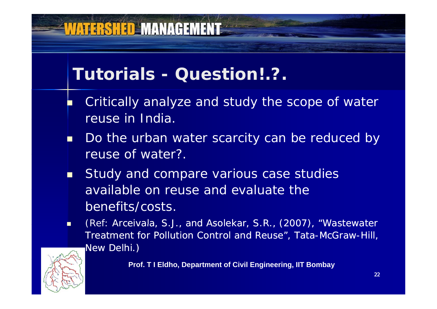## **VATERSHED MANAGEMENT**

#### **Tutorials - Question!.?.**

- F. Critically analyze and study the scope of water reuse in India.
- П Do the urban water scarcity can be reduced by reuse of water?.
- П Study and compare various case studies available on reuse and evaluate the benefits/costs.
- п (Ref: Arceivala, S.J., and Asolekar, S.R., (2007), "Wastewater Treatment for Pollution Control and Reuse", Tata-McGraw-Hill, New Delhi.)



**Prof. T I Eldho, Department of Civil Engineering, IIT Bombay**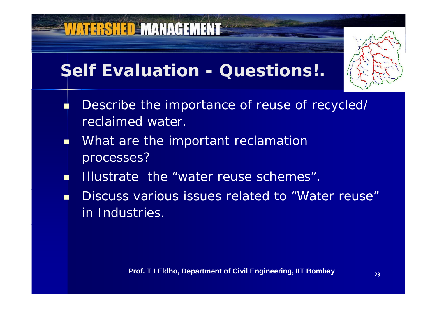#### **Self Evaluation - Questions!.**



- П Describe the importance of reuse of recycled/ reclaimed water.
- n a What are the important reclamation processes ?
- m. Illustrate the "water reuse schemes".
- **Discuss various issues related to "Water reuse"** in Industries.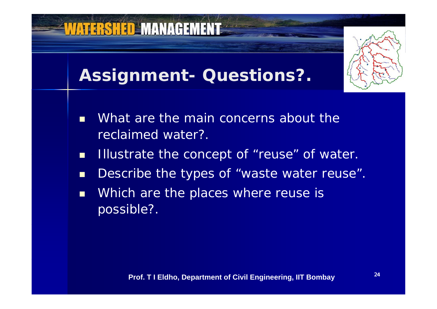

- $\blacksquare$ Describe the types of "waste water reuse".
- $\blacksquare$ Which are the places where reuse is possible?.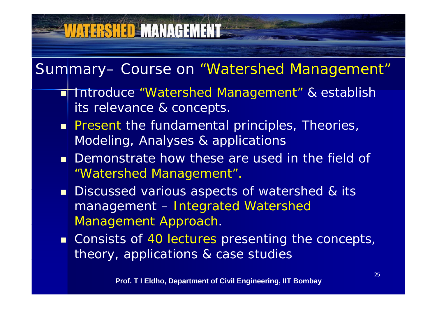# **WATERSHED MANAGEMENT**

Summary– Course on "Watershed Management"

- Introduce "Watershed Management" & establish its relevance & concepts.
- **Present the fundamental principles, Theories,** Modeling, Analyses & applications
- Demonstrate how these are used in the field of "Watershed Management".
- **Discussed various aspects of watershed & its** management – Integrated Watershed Management Approach.
- Consists of 40 lectures presenting the concepts, theory, applications & case studies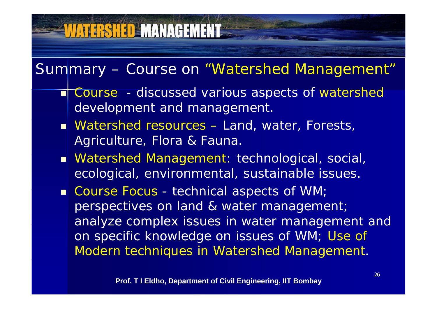# **VATERSHED MANAGEMENT**

#### Summary – Course on "Watershed Management"

- **T Course** discussed various aspects of watershed development and management.
- Watershed resources Land, water, Forests, Agriculture, Flora & Fauna.
- Watershed Management: technological, social, ecological, environmental, sustainable issues.
- Course Focus -- technical aspects of WM; perspectives on land & water management; analyze complex issues in water management and on specific knowledge on issues of WM; Use of Modern techniques in Watershed Management.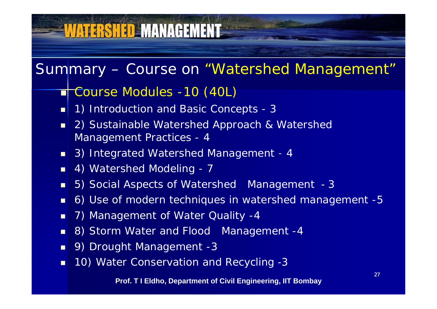# WATERSHED MANAGEMENT

#### Summary – Course on "Watershed Management"

#### ■ Course Modules -10 (40L)

- п 1) Introduction and Basic Concepts - 3
- $\blacksquare$  2) Sustainable Watershed Approach & Watershed Management Practices - 4
- 3) Integrated Watershed Management - 4
- **4) Watershed Modeling 7**
- $\blacksquare$ 5) Social Aspects of Watershed Management - 3
- $\blacksquare$ 6) Use of modern techniques in watershed management -5
- $\blacksquare$ 7) Management of Water Quality -4
- $\blacksquare$ 8) Storm Water and Flood Management -4
- $\blacksquare$ 9) Drought Management -3
- **10) Water Conservation and Recycling -3** п -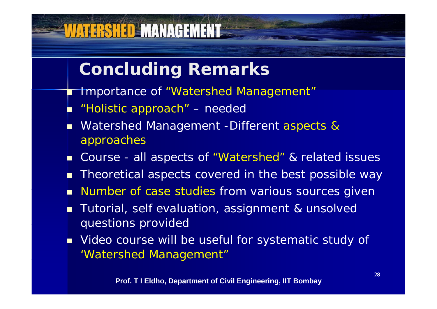#### **Concluding Remarks**

- **The Importance of "Watershed Management"**
- π "Holistic approach" – needed

VATERSHED MANAGEMENT

Π

- T. Watershed Management -Different aspects & approaches
- n ■ Course - all aspects of "Watershed" & related issues
- г Theoretical aspects covered in the best possible way
- п Number of case studies from various sources given
- Т, Tutorial, self evaluation, assignment & unsolved questions provided
- **Notal Exercity Villensis 1** Video course will be useful for systematic study of 'Watershed Mana gement"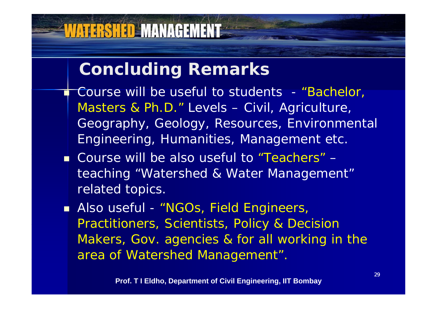#### **Concluding Remarks**

- П Course will be useful to students - "Bachelor, Masters & Ph.D." Levels – Civil, Agriculture, Geography, Geology, Resources, Environmental Engineering, Humanities, Management etc.
- Course will be also useful to "Teachers" teaching "Watershed & Water Management" related topics.
- **Also useful "NGOs, Field Engineers,** Practitioners, Scientists, Policy & Decision Makers, Gov. agencies & for all working in the area of Watershed Management".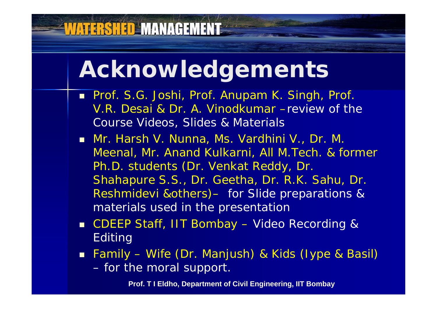# **Acknowledgements**

**WATERSHED MANAGEMENT** 

- Prof. S.G. Joshi, Prof. Anupam K. Singh, Prof. V.R. Desai & Dr. A. Vinodkumar –review of the Course Videos, Slides & Materials
- Mr. Harsh V. Nunna, Ms. Vardhini V., Dr. M. Meenal, Mr. Anand Kulkarni, All M. Tech. & former Ph.D. students (Dr. Venkat Reddy, Dr. Shahapure S.S., Dr. Geetha, Dr. R.K. Sahu, Dr. Reshmidevi &others) – for Slide preparations & materials used in the presentation
- **CDEEP Staff, IIT Bombay**  Video Recording & Editing
- Family Wife (Dr. Manjush) & Kids (lype & Basil) for the moral support.

**Prof. T I Eldho, Department of Civil Engineering, IIT Bombay**